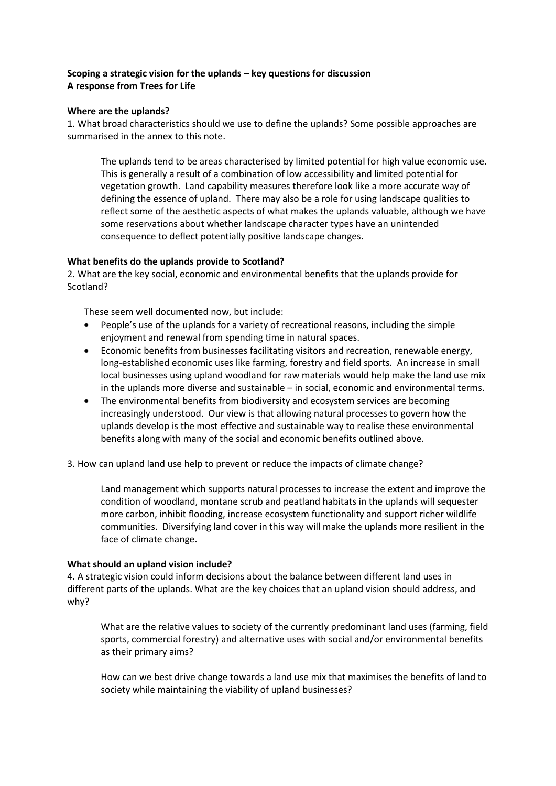# **Scoping a strategic vision for the uplands – key questions for discussion A response from Trees for Life**

### **Where are the uplands?**

1. What broad characteristics should we use to define the uplands? Some possible approaches are summarised in the annex to this note.

The uplands tend to be areas characterised by limited potential for high value economic use. This is generally a result of a combination of low accessibility and limited potential for vegetation growth. Land capability measures therefore look like a more accurate way of defining the essence of upland. There may also be a role for using landscape qualities to reflect some of the aesthetic aspects of what makes the uplands valuable, although we have some reservations about whether landscape character types have an unintended consequence to deflect potentially positive landscape changes.

## **What benefits do the uplands provide to Scotland?**

2. What are the key social, economic and environmental benefits that the uplands provide for Scotland?

These seem well documented now, but include:

- People's use of the uplands for a variety of recreational reasons, including the simple enjoyment and renewal from spending time in natural spaces.
- Economic benefits from businesses facilitating visitors and recreation, renewable energy, long-established economic uses like farming, forestry and field sports. An increase in small local businesses using upland woodland for raw materials would help make the land use mix in the uplands more diverse and sustainable – in social, economic and environmental terms.
- The environmental benefits from biodiversity and ecosystem services are becoming increasingly understood. Our view is that allowing natural processes to govern how the uplands develop is the most effective and sustainable way to realise these environmental benefits along with many of the social and economic benefits outlined above.

3. How can upland land use help to prevent or reduce the impacts of climate change?

Land management which supports natural processes to increase the extent and improve the condition of woodland, montane scrub and peatland habitats in the uplands will sequester more carbon, inhibit flooding, increase ecosystem functionality and support richer wildlife communities. Diversifying land cover in this way will make the uplands more resilient in the face of climate change.

#### **What should an upland vision include?**

4. A strategic vision could inform decisions about the balance between different land uses in different parts of the uplands. What are the key choices that an upland vision should address, and why?

What are the relative values to society of the currently predominant land uses (farming, field sports, commercial forestry) and alternative uses with social and/or environmental benefits as their primary aims?

How can we best drive change towards a land use mix that maximises the benefits of land to society while maintaining the viability of upland businesses?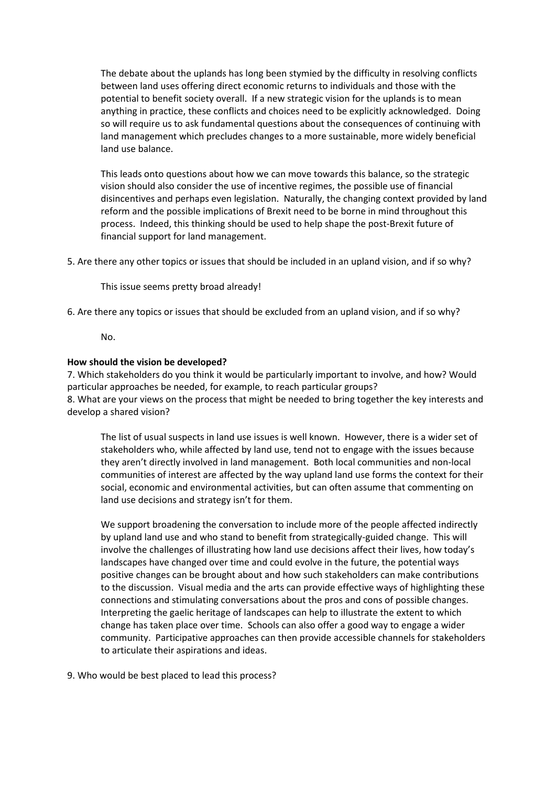The debate about the uplands has long been stymied by the difficulty in resolving conflicts between land uses offering direct economic returns to individuals and those with the potential to benefit society overall. If a new strategic vision for the uplands is to mean anything in practice, these conflicts and choices need to be explicitly acknowledged. Doing so will require us to ask fundamental questions about the consequences of continuing with land management which precludes changes to a more sustainable, more widely beneficial land use balance.

This leads onto questions about how we can move towards this balance, so the strategic vision should also consider the use of incentive regimes, the possible use of financial disincentives and perhaps even legislation. Naturally, the changing context provided by land reform and the possible implications of Brexit need to be borne in mind throughout this process. Indeed, this thinking should be used to help shape the post-Brexit future of financial support for land management.

5. Are there any other topics or issues that should be included in an upland vision, and if so why?

This issue seems pretty broad already!

6. Are there any topics or issues that should be excluded from an upland vision, and if so why?

No.

#### **How should the vision be developed?**

7. Which stakeholders do you think it would be particularly important to involve, and how? Would particular approaches be needed, for example, to reach particular groups? 8. What are your views on the process that might be needed to bring together the key interests and develop a shared vision?

The list of usual suspects in land use issues is well known. However, there is a wider set of stakeholders who, while affected by land use, tend not to engage with the issues because they aren't directly involved in land management. Both local communities and non-local communities of interest are affected by the way upland land use forms the context for their social, economic and environmental activities, but can often assume that commenting on land use decisions and strategy isn't for them.

We support broadening the conversation to include more of the people affected indirectly by upland land use and who stand to benefit from strategically-guided change. This will involve the challenges of illustrating how land use decisions affect their lives, how today's landscapes have changed over time and could evolve in the future, the potential ways positive changes can be brought about and how such stakeholders can make contributions to the discussion. Visual media and the arts can provide effective ways of highlighting these connections and stimulating conversations about the pros and cons of possible changes. Interpreting the gaelic heritage of landscapes can help to illustrate the extent to which change has taken place over time. Schools can also offer a good way to engage a wider community. Participative approaches can then provide accessible channels for stakeholders to articulate their aspirations and ideas.

9. Who would be best placed to lead this process?